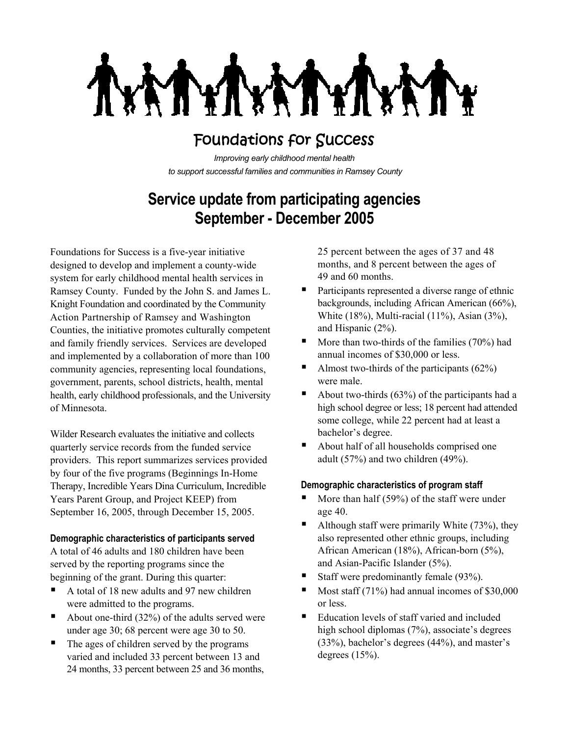ATY.

# Foundations for Success

*Improving early childhood mental health to support successful families and communities in Ramsey County*

# **Service update from participating agencies September - December 2005**

Foundations for Success is a five-year initiative designed to develop and implement a county-wide system for early childhood mental health services in Ramsey County. Funded by the John S. and James L. Knight Foundation and coordinated by the Community Action Partnership of Ramsey and Washington Counties, the initiative promotes culturally competent and family friendly services. Services are developed and implemented by a collaboration of more than 100 community agencies, representing local foundations, government, parents, school districts, health, mental health, early childhood professionals, and the University of Minnesota.

Wilder Research evaluates the initiative and collects quarterly service records from the funded service providers. This report summarizes services provided by four of the five programs (Beginnings In-Home Therapy, Incredible Years Dina Curriculum, Incredible Years Parent Group, and Project KEEP) from September 16, 2005, through December 15, 2005.

#### **Demographic characteristics of participants served**

A total of 46 adults and 180 children have been served by the reporting programs since the beginning of the grant. During this quarter:

- A total of 18 new adults and 97 new children were admitted to the programs.
- About one-third (32%) of the adults served were under age 30; 68 percent were age 30 to 50.
- The ages of children served by the programs varied and included 33 percent between 13 and 24 months, 33 percent between 25 and 36 months,

25 percent between the ages of 37 and 48 months, and 8 percent between the ages of 49 and 60 months.

- **Participants represented a diverse range of ethnic** backgrounds, including African American (66%), White (18%), Multi-racial (11%), Asian (3%), and Hispanic (2%).
- $\blacksquare$  More than two-thirds of the families (70%) had annual incomes of \$30,000 or less.
- Almost two-thirds of the participants  $(62\%)$ were male.
- About two-thirds  $(63%)$  of the participants had a high school degree or less; 18 percent had attended some college, while 22 percent had at least a bachelor's degree.
- About half of all households comprised one adult (57%) and two children (49%).

#### **Demographic characteristics of program staff**

- $\blacksquare$  More than half (59%) of the staff were under age 40.
- Although staff were primarily White  $(73\%)$ , they also represented other ethnic groups, including African American (18%), African-born (5%), and Asian-Pacific Islander (5%).
- Staff were predominantly female (93%).
- Most staff (71%) had annual incomes of \$30,000 or less.
- Education levels of staff varied and included high school diplomas (7%), associate's degrees (33%), bachelor's degrees (44%), and master's degrees  $(15%)$ .